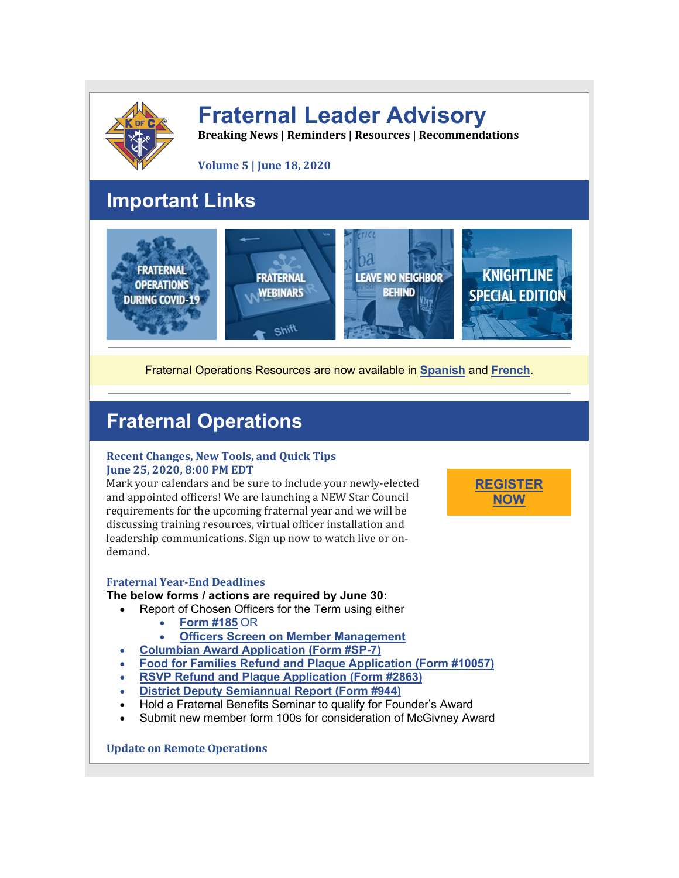

# **Fraternal Leader Advisory**

**Breaking News | Reminders | Resources | Recommendations**

**Volume 5 | June 18, 2020**

# **Important Links**



Fraternal Operations Resources are now available in **[Spanish](http://r20.rs6.net/tn.jsp?f=001Iq09OXOLFYs8r2386GoJFGnNEJzf0H2urhUJSAJ07OpVDJagU31o0gcGZSpURR_IT1Ict2q_WVKtDMf0TvuHm1-6vjyuo_nbtCbkY7O4lNoZVZNIPko7n272woqoWB70OCkfxibjQiF9TIOhmwck9i3oRttKoFmz4todd5_ze0g6Z-PjaSbxehfLENZDFDoeIa4kkp4nStSSZ1hHS5rpy9FqR1cHhswHwkQPSy48HkoKnZeA8tnfw6wyt4rksZRGYabIdQkuBI3ADbp4TBkFD1Rqmn6dVY8F&c=Mz4qRLFY_UVU4usmKPMfglL1PeCDhyN-Zq5exyhExlT01Hr0_8gv0Q==&ch=3qdAi3RWx8ghbvJ-rYDu4-P8E3FPurCSnB20RgDl9Zejnk-pRYO-Dg==)** and **[French](http://r20.rs6.net/tn.jsp?f=001Iq09OXOLFYs8r2386GoJFGnNEJzf0H2urhUJSAJ07OpVDJagU31o0gcGZSpURR_IG3gH-I0mJQsC-njhsuJnHQNDRVjBVhS0edXAmoZE-HUoz15tNCfJnk8PF6n1qYq2wcOh2FhIGUOUUAU4JXbUQjCDuLlbONo6LzJRDnlekmD1DeRFPzuGab1Dj4RHTFiyUBp2qblW6zdOU_eTaAp75GFK6Hm6zWzu7u-nBGfa78oznlUQMtk-jZuEYb4NACqnICD09OQBsqCxH5GgCKAnz43go1hDIGCJ&c=Mz4qRLFY_UVU4usmKPMfglL1PeCDhyN-Zq5exyhExlT01Hr0_8gv0Q==&ch=3qdAi3RWx8ghbvJ-rYDu4-P8E3FPurCSnB20RgDl9Zejnk-pRYO-Dg==)**.

**[REGISTER](http://r20.rs6.net/tn.jsp?f=001Iq09OXOLFYs8r2386GoJFGnNEJzf0H2urhUJSAJ07OpVDJagU31o0kNQJ81NdF60uhWIsibgZzy_S-GdLiZVn5z2V0a4haTNH93EKDU_fTVxyqcQYf7lTbmlaBQsC7HN7TDbDXxnDL34SuIWDIjQQZTc0Kv-3cWICmW76vYjsHcG85wT4hrixn2AfIlNWGrAoFTRPeTRXQ7lfesvEyeJXWGZpn4Z8K-2KKTrR7k68UF8ZjQYYvl11A==&c=Mz4qRLFY_UVU4usmKPMfglL1PeCDhyN-Zq5exyhExlT01Hr0_8gv0Q==&ch=3qdAi3RWx8ghbvJ-rYDu4-P8E3FPurCSnB20RgDl9Zejnk-pRYO-Dg==) [NOW](http://r20.rs6.net/tn.jsp?f=001Iq09OXOLFYs8r2386GoJFGnNEJzf0H2urhUJSAJ07OpVDJagU31o0kNQJ81NdF60uhWIsibgZzy_S-GdLiZVn5z2V0a4haTNH93EKDU_fTVxyqcQYf7lTbmlaBQsC7HN7TDbDXxnDL34SuIWDIjQQZTc0Kv-3cWICmW76vYjsHcG85wT4hrixn2AfIlNWGrAoFTRPeTRXQ7lfesvEyeJXWGZpn4Z8K-2KKTrR7k68UF8ZjQYYvl11A==&c=Mz4qRLFY_UVU4usmKPMfglL1PeCDhyN-Zq5exyhExlT01Hr0_8gv0Q==&ch=3qdAi3RWx8ghbvJ-rYDu4-P8E3FPurCSnB20RgDl9Zejnk-pRYO-Dg==)**

# **Fraternal Operations**

### **Recent Changes, New Tools, and Quick Tips June 25, 2020, 8:00 PM EDT**

Mark your calendars and be sure to include your newly-elected and appointed officers! We are launching a NEW Star Council requirements for the upcoming fraternal year and we will be discussing training resources, virtual officer installation and leadership communications. Sign up now to watch live or ondemand.

### **Fraternal Year-End Deadlines**

### **The below forms / actions are required by June 30:**

- Report of Chosen Officers for the Term using either
	- **[Form](http://r20.rs6.net/tn.jsp?f=001Iq09OXOLFYs8r2386GoJFGnNEJzf0H2urhUJSAJ07OpVDJagU31o0ntte4afI56a_6n3S-w6W1-W3NeihzgNKoc_RT2Sr4YX79MEG3Z54aQHQZhh7bcT8nXvJIZvH9XPBFioDbo5sKbfNV0ou7skf-Oju33m_4aVkj986VL-7aPqawvGITLAFacehTdheB9e3Yb06VH5K_0=&c=Mz4qRLFY_UVU4usmKPMfglL1PeCDhyN-Zq5exyhExlT01Hr0_8gv0Q==&ch=3qdAi3RWx8ghbvJ-rYDu4-P8E3FPurCSnB20RgDl9Zejnk-pRYO-Dg==) #185** OR
	- **Officers Screen on Member [Management](http://r20.rs6.net/tn.jsp?f=001Iq09OXOLFYs8r2386GoJFGnNEJzf0H2urhUJSAJ07OpVDJagU31o0jMzCZEuU_9nKc_MGh5xjE2hGhWsr69BjmIp159oP6zKSDYx8zXgzSpQkZ08__TkFGrwEdlobJSVtAsRUBLWy3Fqf5JHbRE3VB4BgKBuLN2e_M1FtWmLr4E3O0e8UOf1rWCrHreggClX&c=Mz4qRLFY_UVU4usmKPMfglL1PeCDhyN-Zq5exyhExlT01Hr0_8gv0Q==&ch=3qdAi3RWx8ghbvJ-rYDu4-P8E3FPurCSnB20RgDl9Zejnk-pRYO-Dg==)**
- **Columbian Award [Application](http://r20.rs6.net/tn.jsp?f=001Iq09OXOLFYs8r2386GoJFGnNEJzf0H2urhUJSAJ07OpVDJagU31o0kNQJ81NdF60DQoOClXX6rwZ1xO1OCjtvNU8l_sU6s5PrTh4ZjNOdqfDblBr88BxEK2dFkI7M1mWMz6LV1-IRzy8-AkhmcgbeAci5MmUFhv8GGqVhTMczxl7n_gkVkZmk55xyzWRqzlLWi6aY8F1QXI=&c=Mz4qRLFY_UVU4usmKPMfglL1PeCDhyN-Zq5exyhExlT01Hr0_8gv0Q==&ch=3qdAi3RWx8ghbvJ-rYDu4-P8E3FPurCSnB20RgDl9Zejnk-pRYO-Dg==) (Form #SP-7)**
- **Food for Families Refund and Plaque [Application](http://r20.rs6.net/tn.jsp?f=001Iq09OXOLFYs8r2386GoJFGnNEJzf0H2urhUJSAJ07OpVDJagU31o0vMPoVVU3A-KJe-Fh0CMWl3loWt4JeYSg87qOJgGO5yZ0ILD7DUgaxePacw-v4py_y_x_2XZylAMe0k9izEWvPZugE8_WChR27qnzmaxQLx2TpNxx-Gd3abHJRt6QUSorCIDQjHUXwXw8kRtzhhQ3c3GyOIju-0rNJ_cJJNrJZLUb813ik-IorsG-RySBZPVtovwZKEsK1zjxFLvkuxjA47aVD7PNKpcooRrk4oH6mhl&c=Mz4qRLFY_UVU4usmKPMfglL1PeCDhyN-Zq5exyhExlT01Hr0_8gv0Q==&ch=3qdAi3RWx8ghbvJ-rYDu4-P8E3FPurCSnB20RgDl9Zejnk-pRYO-Dg==) (Form #10057)**
- **RSVP Refund and Plaque [Application](http://r20.rs6.net/tn.jsp?f=001Iq09OXOLFYs8r2386GoJFGnNEJzf0H2urhUJSAJ07OpVDJagU31o0gcGZSpURR_IAndfpeK5OCp9thMgnYFdULfJt_p9PCqTlf1J8XTNoUe1SVWVkjH246oYdOSAFUqI6rYFThSZNsgUHv0n0c5JePiNvQyYv0a1EB4rueN1MTAL1WJlsjb0wHnVbNN-rbvkUaChVjRYQPq8k6BxiOpKsUU3S0xJWPWRE6I5loz8eIVyMJ2DoBS2Ng2Gd236sR8EEBB-iG13drg=&c=Mz4qRLFY_UVU4usmKPMfglL1PeCDhyN-Zq5exyhExlT01Hr0_8gv0Q==&ch=3qdAi3RWx8ghbvJ-rYDu4-P8E3FPurCSnB20RgDl9Zejnk-pRYO-Dg==) (Form #2863)**
- **District Deputy [Semiannual](http://r20.rs6.net/tn.jsp?f=001Iq09OXOLFYs8r2386GoJFGnNEJzf0H2urhUJSAJ07OpVDJagU31o0kNQJ81NdF600Dc76jdkN6NiZE4X2nQYXR1W0IolgLHBRF_DhsylwKHQ-BKHsC9Q8M2N0fGn2U210NPihheib8MpZwE2w55oP5V7Yggc_R_hFZItSE6qJF6wY0XYgoGCeuMSZYKI8VNcQtXBTrAL7gOFXA_oS_3mFg==&c=Mz4qRLFY_UVU4usmKPMfglL1PeCDhyN-Zq5exyhExlT01Hr0_8gv0Q==&ch=3qdAi3RWx8ghbvJ-rYDu4-P8E3FPurCSnB20RgDl9Zejnk-pRYO-Dg==) Report (Form #944)**
- Hold a Fraternal Benefits Seminar to qualify for Founder's Award
- Submit new member form 100s for consideration of McGivney Award

**Update on Remote Operations**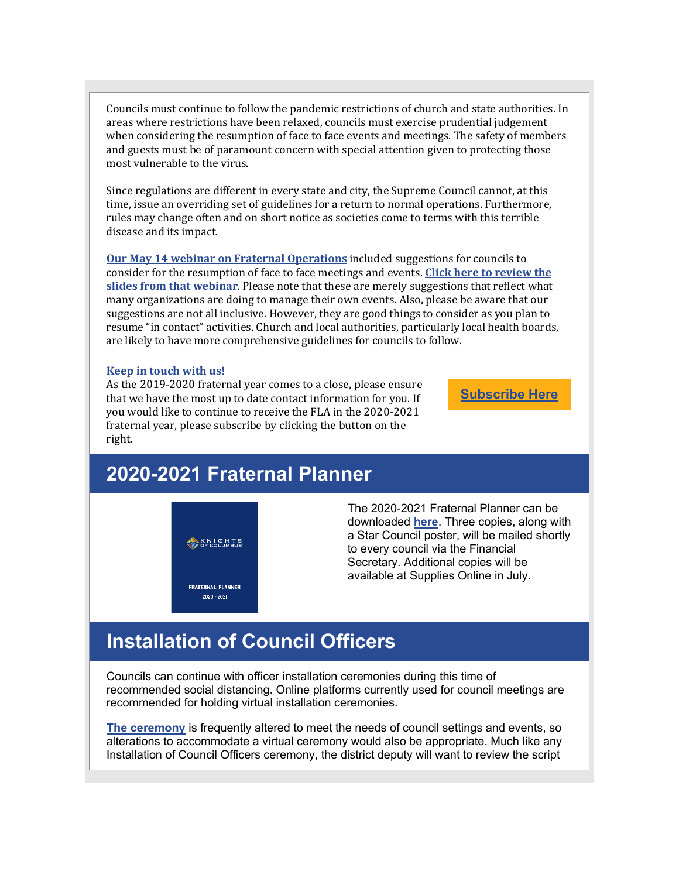Councils must continue to follow the pandemic restrictions of church and state authorities. In areas where restrictions have been relaxed, councils must exercise prudential judgement when considering the resumption of face to face events and meetings. The safety of members and guests must be of paramount concern with special attention given to protecting those most vulnerable to the virus.

Since regulations are different in every state and city, the Supreme Council cannot, at this time, issue an overriding set of guidelines for a return to normal operations. Furthermore, rules may change often and on short notice as societies come to terms with this terrible disease and its impact.

**Our May 14 webinar on Fraternal [Operations](http://r20.rs6.net/tn.jsp?f=001Iq09OXOLFYs8r2386GoJFGnNEJzf0H2urhUJSAJ07OpVDJagU31o0kNQJ81NdF60Zu0Iw1jwFvGMXILK1-F5CD_jPWV9vNQOMW6aXUoqJEOewS52bSl2FOoi9TQMVRpffhDy1Z785g51orA3RFBD_htAIbrzMxI_4IDutz2tYv4SKXrhk4qwOoh8FboUjUCbSkuRDLfWaW_ppMnn_853Zbir0ZbGMyD1TnmYYUbw4_Av8RqpWKKBLQ==&c=Mz4qRLFY_UVU4usmKPMfglL1PeCDhyN-Zq5exyhExlT01Hr0_8gv0Q==&ch=3qdAi3RWx8ghbvJ-rYDu4-P8E3FPurCSnB20RgDl9Zejnk-pRYO-Dg==)** included suggestions for councils to consider for the resumption of face to face meetings and events. **Click here to [review](http://r20.rs6.net/tn.jsp?f=001Iq09OXOLFYs8r2386GoJFGnNEJzf0H2urhUJSAJ07OpVDJagU31o0gcGZSpURR_IMD-HYVBxwzXW4lwSM9AW3Ti7wupIIJg4LuZVqiQoSDK4FAc96cuRxKThew0GIugTA9Ne025lBs3pYvOVH2hlnHPsPBWGkoPSK3huU5SFC2VoJri9Hm-NiZOgn_fuygZksOy2KIrUIBQ4lo8BP-kdGteL4KULZk-0LUDhW5Ccc6A=&c=Mz4qRLFY_UVU4usmKPMfglL1PeCDhyN-Zq5exyhExlT01Hr0_8gv0Q==&ch=3qdAi3RWx8ghbvJ-rYDu4-P8E3FPurCSnB20RgDl9Zejnk-pRYO-Dg==) the slides from that [webinar](http://r20.rs6.net/tn.jsp?f=001Iq09OXOLFYs8r2386GoJFGnNEJzf0H2urhUJSAJ07OpVDJagU31o0gcGZSpURR_IMD-HYVBxwzXW4lwSM9AW3Ti7wupIIJg4LuZVqiQoSDK4FAc96cuRxKThew0GIugTA9Ne025lBs3pYvOVH2hlnHPsPBWGkoPSK3huU5SFC2VoJri9Hm-NiZOgn_fuygZksOy2KIrUIBQ4lo8BP-kdGteL4KULZk-0LUDhW5Ccc6A=&c=Mz4qRLFY_UVU4usmKPMfglL1PeCDhyN-Zq5exyhExlT01Hr0_8gv0Q==&ch=3qdAi3RWx8ghbvJ-rYDu4-P8E3FPurCSnB20RgDl9Zejnk-pRYO-Dg==)**. Please note that these are merely suggestions that reflect what many organizations are doing to manage their own events. Also, please be aware that our suggestions are not all inclusive. However, they are good things to consider as you plan to resume "in contact" activities. Church and local authorities, particularly local health boards, are likely to have more comprehensive guidelines for councils to follow.

#### **Keep in touch with us!**

As the 2019-2020 fraternal year comes to a close, please ensure that we have the most up to date contact information for you. If you would like to continue to receive the FLA in the 2020-2021 fraternal year, please subscribe by clicking the button on the right.

**[Subscribe](http://r20.rs6.net/tn.jsp?f=001Iq09OXOLFYs8r2386GoJFGnNEJzf0H2urhUJSAJ07OpVDJagU31o0kNQJ81NdF60Ae_eKlBqgM-uo7rjoTZ3x4oOVocTTU9mRd2AZ3w_z-NxFGakuQV9Nl0un8alAqatrOLEAeQ1DIrtr1z7UkxtlB1mUz_DIffYqVyRrp2AyKQsHZlWjvjcviE9gR6BXwVaNYLF0JRD5Dpcdzi22tRHKNqbe16f_J8zPW7m19mbCb2YMZSIUt4hHwBZzMYhqpJBwR5EwE5AYbgenhtjnGUPAiY1DrTLztfMJbe2miIm8ov0dnhoDuzDEhbgK4SFzKpbH5PYHuVB6A0=&c=Mz4qRLFY_UVU4usmKPMfglL1PeCDhyN-Zq5exyhExlT01Hr0_8gv0Q==&ch=3qdAi3RWx8ghbvJ-rYDu4-P8E3FPurCSnB20RgDl9Zejnk-pRYO-Dg==) Here**

# **2020-2021 Fraternal Planner**

**AN KNIGHTS** 

**FRATERNAL PLANNER**  $2020 - 2021$ 

The 2020-2021 Fraternal Planner can be downloaded **[here](http://r20.rs6.net/tn.jsp?f=001Iq09OXOLFYs8r2386GoJFGnNEJzf0H2urhUJSAJ07OpVDJagU31o0kNQJ81NdF60WhNpB0EK7VGTnuHlpIVDRt8ZU30xHK8k-xuzGUL5_QFNjC9ZO5z01vUP825YPhblT2-ZCxOdQpmxCx9mjyd3aZr6HFRlPaYxvf5bAKGmPEWadCKJj8m-iMhrOkv7kuiXFYh0UUh48PFzcoqUQ3HcbCUA08NfvmfO74QmSI00yhI=&c=Mz4qRLFY_UVU4usmKPMfglL1PeCDhyN-Zq5exyhExlT01Hr0_8gv0Q==&ch=3qdAi3RWx8ghbvJ-rYDu4-P8E3FPurCSnB20RgDl9Zejnk-pRYO-Dg==)**. Three copies, along with a Star Council poster, will be mailed shortly to every council via the Financial Secretary. Additional copies will be available at Supplies Online in July.

### **Installation of Council Officers**

Councils can continue with officer installation ceremonies during this time of recommended social distancing. Online platforms currently used for council meetings are recommended for holding virtual installation ceremonies.

**The [ceremony](http://r20.rs6.net/tn.jsp?f=001Iq09OXOLFYs8r2386GoJFGnNEJzf0H2urhUJSAJ07OpVDJagU31o0gcGZSpURR_Ijl-U1ZOp24YfkjgrEj8ZkwfqarL9mod326HYfaSsUPw1OkdfDPS2upoHXQ22K5H6e39nspx23PWMUXKZnqtZPYp80VkTS4TGhHTJIh8PJ4iopb3HQEvM1qmnaEGczdCK4QAiZqih3W_Vl3lkCqPNsW_LA7T7WI8pQKQK2I4hz1aDlREFL0l6fMU4WgIVI4ILUGvQRM7IrLs=&c=Mz4qRLFY_UVU4usmKPMfglL1PeCDhyN-Zq5exyhExlT01Hr0_8gv0Q==&ch=3qdAi3RWx8ghbvJ-rYDu4-P8E3FPurCSnB20RgDl9Zejnk-pRYO-Dg==)** is frequently altered to meet the needs of council settings and events, so alterations to accommodate a virtual ceremony would also be appropriate. Much like any Installation of Council Officers ceremony, the district deputy will want to review the script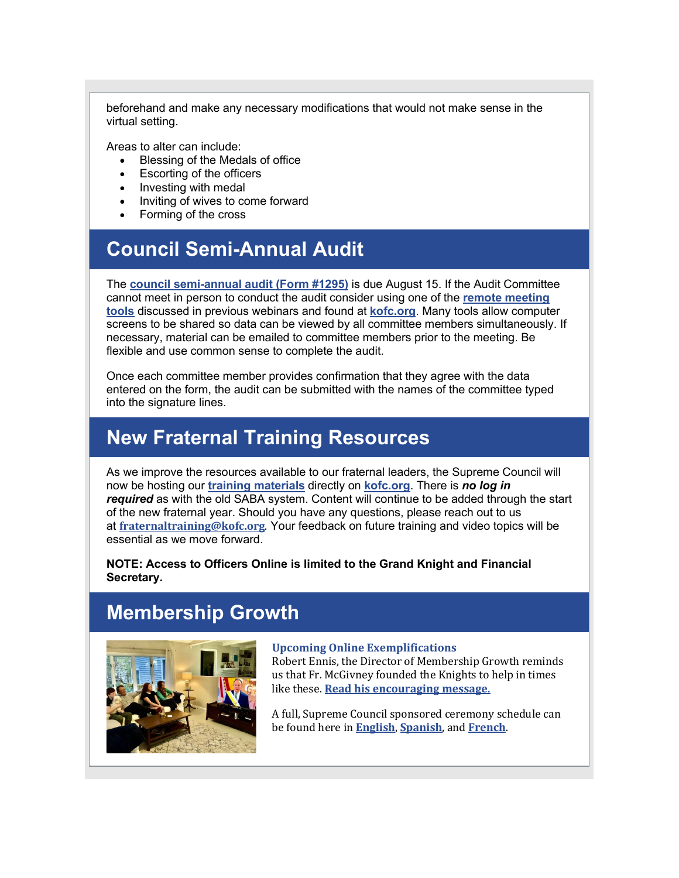beforehand and make any necessary modifications that would not make sense in the virtual setting.

Areas to alter can include:

- Blessing of the Medals of office
- Escorting of the officers
- Investing with medal
- Inviting of wives to come forward
- Forming of the cross

# **Council Semi-Annual Audit**

The **council [semi-annual](http://r20.rs6.net/tn.jsp?f=001Iq09OXOLFYs8r2386GoJFGnNEJzf0H2urhUJSAJ07OpVDJagU31o0kNQJ81NdF60K3sdvIhIEyjDjWQAau-HnHHA142Y9Gn2ktw60DDPda9b9rZAzM4-L3VT462hKXtNtjC6HLgpJB1fErdFOBvAVhYKTaFcAm-8R4p2JZZskr_mXGWXmntk7wUrXvO9QJcO&c=Mz4qRLFY_UVU4usmKPMfglL1PeCDhyN-Zq5exyhExlT01Hr0_8gv0Q==&ch=3qdAi3RWx8ghbvJ-rYDu4-P8E3FPurCSnB20RgDl9Zejnk-pRYO-Dg==) audit (Form #1295)** is due August 15. If the Audit Committee cannot meet in person to conduct the audit consider using one of the **remote [meeting](http://r20.rs6.net/tn.jsp?f=001Iq09OXOLFYs8r2386GoJFGnNEJzf0H2urhUJSAJ07OpVDJagU31o0pCkxVAAiBX_kQSwg9LaAMXLVCzrLvaJ-lpe3vj9CHkR_jcoO6DkCW-P0bnZMG-8ZA4Gw29NeJ-tY59L1PE3tsrt7siPE2EBcBX4ftwpoKFNlE2sWZF7jS3UYuLAZpshvT_uO73PD0wQ95tZFZDisrvwzqRvbse4Fj1fm3y0VK-MMqq2PvXoKCGQJibspIRB9_OaYA_xyMYN9_r53EjRvYncrmV5nb0oyA==&c=Mz4qRLFY_UVU4usmKPMfglL1PeCDhyN-Zq5exyhExlT01Hr0_8gv0Q==&ch=3qdAi3RWx8ghbvJ-rYDu4-P8E3FPurCSnB20RgDl9Zejnk-pRYO-Dg==) [tools](http://r20.rs6.net/tn.jsp?f=001Iq09OXOLFYs8r2386GoJFGnNEJzf0H2urhUJSAJ07OpVDJagU31o0pCkxVAAiBX_kQSwg9LaAMXLVCzrLvaJ-lpe3vj9CHkR_jcoO6DkCW-P0bnZMG-8ZA4Gw29NeJ-tY59L1PE3tsrt7siPE2EBcBX4ftwpoKFNlE2sWZF7jS3UYuLAZpshvT_uO73PD0wQ95tZFZDisrvwzqRvbse4Fj1fm3y0VK-MMqq2PvXoKCGQJibspIRB9_OaYA_xyMYN9_r53EjRvYncrmV5nb0oyA==&c=Mz4qRLFY_UVU4usmKPMfglL1PeCDhyN-Zq5exyhExlT01Hr0_8gv0Q==&ch=3qdAi3RWx8ghbvJ-rYDu4-P8E3FPurCSnB20RgDl9Zejnk-pRYO-Dg==)** discussed in previous webinars and found at **[kofc.org](http://r20.rs6.net/tn.jsp?f=001Iq09OXOLFYs8r2386GoJFGnNEJzf0H2urhUJSAJ07OpVDJagU31o0qNObBhdWJ5gI2Bgv2Yk92ICVcKPbLLv5BhkquHiFIwnX9KQUKPBnZ57n-GFgykpV5iyjmknQ8OKRkw-DSrJglQ=&c=Mz4qRLFY_UVU4usmKPMfglL1PeCDhyN-Zq5exyhExlT01Hr0_8gv0Q==&ch=3qdAi3RWx8ghbvJ-rYDu4-P8E3FPurCSnB20RgDl9Zejnk-pRYO-Dg==)**. Many tools allow computer screens to be shared so data can be viewed by all committee members simultaneously. If necessary, material can be emailed to committee members prior to the meeting. Be flexible and use common sense to complete the audit.

Once each committee member provides confirmation that they agree with the data entered on the form, the audit can be submitted with the names of the committee typed into the signature lines.

## **New Fraternal Training Resources**

As we improve the resources available to our fraternal leaders, the Supreme Council will now be hosting our **training [materials](http://r20.rs6.net/tn.jsp?f=001Iq09OXOLFYs8r2386GoJFGnNEJzf0H2urhUJSAJ07OpVDJagU31o0kNQJ81NdF60l3RxEAuoC8g78Ir1y_xkHwuSCV1XdMB0UTXaqZuk6uSPm10UBLXrocODJUz7THODzg_7Zp7n1-Mg6v4eDFh0XE_EHsMRO2c5xQCV2NN5urzEEnxl-KdP7UeC79npvWkn4PfBJwbEeaI=&c=Mz4qRLFY_UVU4usmKPMfglL1PeCDhyN-Zq5exyhExlT01Hr0_8gv0Q==&ch=3qdAi3RWx8ghbvJ-rYDu4-P8E3FPurCSnB20RgDl9Zejnk-pRYO-Dg==)** directly on **[kofc.org](http://r20.rs6.net/tn.jsp?f=001Iq09OXOLFYs8r2386GoJFGnNEJzf0H2urhUJSAJ07OpVDJagU31o0qNObBhdWJ5gI2Bgv2Yk92ICVcKPbLLv5BhkquHiFIwnX9KQUKPBnZ57n-GFgykpV5iyjmknQ8OKRkw-DSrJglQ=&c=Mz4qRLFY_UVU4usmKPMfglL1PeCDhyN-Zq5exyhExlT01Hr0_8gv0Q==&ch=3qdAi3RWx8ghbvJ-rYDu4-P8E3FPurCSnB20RgDl9Zejnk-pRYO-Dg==)**. There is *no log in required* as with the old SABA system. Content will continue to be added through the start of the new fraternal year. Should you have any questions, please reach out to us at **[fraternaltraining@kofc.org](mailto:fraternaltraining@kofc.org)**. Your feedback on future training and video topics will be essential as we move forward.

**NOTE: Access to Officers Online is limited to the Grand Knight and Financial Secretary.**

### **Membership Growth**



#### **Upcoming Online Exemplifications**

Robert Ennis, the Director of Membership Growth reminds us that Fr. McGivney founded the Knights to help in times like these. **Read his [encouraging](http://r20.rs6.net/tn.jsp?f=001Iq09OXOLFYs8r2386GoJFGnNEJzf0H2urhUJSAJ07OpVDJagU31o0kNQJ81NdF60eaTtanhH4e5PWjXeqUrG9s-SQ5Ud1th_6TiRPLmOnzrBTSGsroV_7pv15E_2nW-zFwViweFpPD4YaCGO1O4yZg==&c=Mz4qRLFY_UVU4usmKPMfglL1PeCDhyN-Zq5exyhExlT01Hr0_8gv0Q==&ch=3qdAi3RWx8ghbvJ-rYDu4-P8E3FPurCSnB20RgDl9Zejnk-pRYO-Dg==) message.**

A full, Supreme Council sponsored ceremony schedule can be found here in **[English](http://r20.rs6.net/tn.jsp?f=001Iq09OXOLFYs8r2386GoJFGnNEJzf0H2urhUJSAJ07OpVDJagU31o0kNQJ81NdF6054x4BC2l39di9au7hPuSbJjSAkjZAPV1MFMYIb8s1SKHXG6J8BwTlKviFytDSQjkad4dCLpKjPCW7GvCKrUg2SaMJ5IyD3XB7rtIxtPK2oA9Ta8x4wOqp_QGuh3MWq2kdsgwMkamBQB0O5vQtO795o3F8XH1u_Fvy5asl7Smjuw=&c=Mz4qRLFY_UVU4usmKPMfglL1PeCDhyN-Zq5exyhExlT01Hr0_8gv0Q==&ch=3qdAi3RWx8ghbvJ-rYDu4-P8E3FPurCSnB20RgDl9Zejnk-pRYO-Dg==)**, **[Spanish](http://r20.rs6.net/tn.jsp?f=001Iq09OXOLFYs8r2386GoJFGnNEJzf0H2urhUJSAJ07OpVDJagU31o0vjCxmh481GTtzyU2E20i6d0DKAKnDt4H1wb_Bzdk3kxitp9XFFLGeM9A7FNUyY2j1pz8XumlYpgYQUWEwiMghOUaeNC02isA7WqBjB1kAebkONf9wkl3Kv6zap4kiX-fN1lsu0ph06dZYUEUaTxKe5leOJLvLHjOLKQWFsClwQ4GTITatnRQnM=&c=Mz4qRLFY_UVU4usmKPMfglL1PeCDhyN-Zq5exyhExlT01Hr0_8gv0Q==&ch=3qdAi3RWx8ghbvJ-rYDu4-P8E3FPurCSnB20RgDl9Zejnk-pRYO-Dg==)**, and **[French](http://r20.rs6.net/tn.jsp?f=001Iq09OXOLFYs8r2386GoJFGnNEJzf0H2urhUJSAJ07OpVDJagU31o0kNQJ81NdF601J-GEV8B1TA-kUO28iVOBtIQXspYPDX4zUMhbQPg_TxjKJHworSMtD_n8Rt-SgAT1UV7K73rGTQik78_mqMUcPRD-MjZq-u7CLN0sx73XxIftX1l8jDQLjhs_hl7J6_fhigWkfI1eLpvsB9PHOG01SMxVvtzYFX_C_xpyPGRnQA=&c=Mz4qRLFY_UVU4usmKPMfglL1PeCDhyN-Zq5exyhExlT01Hr0_8gv0Q==&ch=3qdAi3RWx8ghbvJ-rYDu4-P8E3FPurCSnB20RgDl9Zejnk-pRYO-Dg==)**.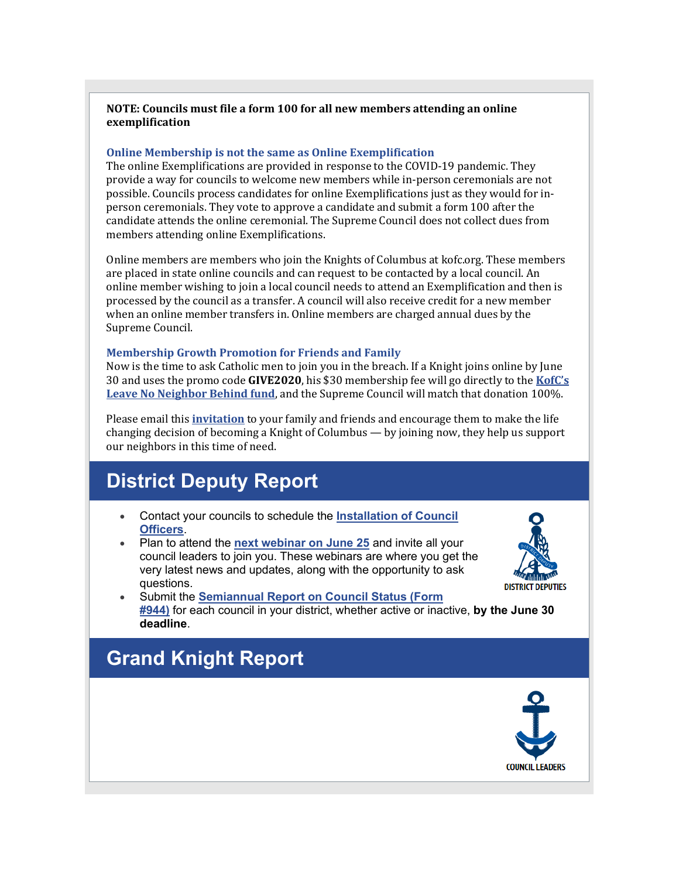### **NOTE: Councils must file a form 100 for all new members attending an online exemplification**

### **Online Membership is not the same as Online Exemplification**

The online Exemplifications are provided in response to the COVID-19 pandemic. They provide a way for councils to welcome new members while in-person ceremonials are not possible. Councils process candidates for online Exemplifications just as they would for inperson ceremonials. They vote to approve a candidate and submit a form 100 after the candidate attends the online ceremonial. The Supreme Council does not collect dues from members attending online Exemplifications.

Online members are members who join the Knights of Columbus at kofc.org. These members are placed in state online councils and can request to be contacted by a local council. An online member wishing to join a local council needs to attend an Exemplification and then is processed by the council as a transfer. A council will also receive credit for a new member when an online member transfers in. Online members are charged annual dues by the Supreme Council.

### **Membership Growth Promotion for Friends and Family**

Now is the time to ask Catholic men to join you in the breach. If a Knight joins online by June 30 and uses the promo code **GIVE2020**, his \$30 membership fee will go directly to the **[KofC's](http://r20.rs6.net/tn.jsp?f=001Iq09OXOLFYs8r2386GoJFGnNEJzf0H2urhUJSAJ07OpVDJagU31o0qgwXDw9kXtVt1198RtK5fYvManCzn5e5jcdw9owb1sbS-J8D7wSpGM3CFr77lsI2qpwTC_qyk4ZWK3iamCiZHKK591eP7l5wDeOg47MG1igbH-z22j81KJtM3FBWBLxmohyAriHVlujLXbAsWL-YZw=&c=Mz4qRLFY_UVU4usmKPMfglL1PeCDhyN-Zq5exyhExlT01Hr0_8gv0Q==&ch=3qdAi3RWx8ghbvJ-rYDu4-P8E3FPurCSnB20RgDl9Zejnk-pRYO-Dg==) Leave No [Neighbor](http://r20.rs6.net/tn.jsp?f=001Iq09OXOLFYs8r2386GoJFGnNEJzf0H2urhUJSAJ07OpVDJagU31o0qgwXDw9kXtVt1198RtK5fYvManCzn5e5jcdw9owb1sbS-J8D7wSpGM3CFr77lsI2qpwTC_qyk4ZWK3iamCiZHKK591eP7l5wDeOg47MG1igbH-z22j81KJtM3FBWBLxmohyAriHVlujLXbAsWL-YZw=&c=Mz4qRLFY_UVU4usmKPMfglL1PeCDhyN-Zq5exyhExlT01Hr0_8gv0Q==&ch=3qdAi3RWx8ghbvJ-rYDu4-P8E3FPurCSnB20RgDl9Zejnk-pRYO-Dg==) Behind fund**, and the Supreme Council will match that donation 100%.

Please email this **[invitation](http://r20.rs6.net/tn.jsp?f=001Iq09OXOLFYs8r2386GoJFGnNEJzf0H2urhUJSAJ07OpVDJagU31o0hA4jc5M4Pn0VJcc8DEoRXAnXKhMoyzQ346NDqVtqWB8f1mw3CTMEa7TDyqPCJODC6JINuX9-Mg6REvlWiXiSWhUCMMhvtM8qyp1miKV4NETii2L47ieUjPmGnHKKo6yqMTqc0RTE_MphLOlrIbOHJhBPzpJZJg2ehyd1PRNOjC6SBZ0Doy9QxlONJ_d-5vRBTPKITY03i5y22xvwqz161xXJzNLTNIs3peg8u70vLpvHbD4K78m_GamkqjTDQlpdfPAEBEd_wLtLwutgmC7Jl4=&c=Mz4qRLFY_UVU4usmKPMfglL1PeCDhyN-Zq5exyhExlT01Hr0_8gv0Q==&ch=3qdAi3RWx8ghbvJ-rYDu4-P8E3FPurCSnB20RgDl9Zejnk-pRYO-Dg==)** to your family and friends and encourage them to make the life changing decision of becoming a Knight of Columbus — by joining now, they help us support our neighbors in this time of need.

# **District Deputy Report**

- Contact your councils to schedule the **[Installation](http://r20.rs6.net/tn.jsp?f=001Iq09OXOLFYs8r2386GoJFGnNEJzf0H2urhUJSAJ07OpVDJagU31o0gcGZSpURR_Ijl-U1ZOp24YfkjgrEj8ZkwfqarL9mod326HYfaSsUPw1OkdfDPS2upoHXQ22K5H6e39nspx23PWMUXKZnqtZPYp80VkTS4TGhHTJIh8PJ4iopb3HQEvM1qmnaEGczdCK4QAiZqih3W_Vl3lkCqPNsW_LA7T7WI8pQKQK2I4hz1aDlREFL0l6fMU4WgIVI4ILUGvQRM7IrLs=&c=Mz4qRLFY_UVU4usmKPMfglL1PeCDhyN-Zq5exyhExlT01Hr0_8gv0Q==&ch=3qdAi3RWx8ghbvJ-rYDu4-P8E3FPurCSnB20RgDl9Zejnk-pRYO-Dg==) of Council [Officers](http://r20.rs6.net/tn.jsp?f=001Iq09OXOLFYs8r2386GoJFGnNEJzf0H2urhUJSAJ07OpVDJagU31o0gcGZSpURR_Ijl-U1ZOp24YfkjgrEj8ZkwfqarL9mod326HYfaSsUPw1OkdfDPS2upoHXQ22K5H6e39nspx23PWMUXKZnqtZPYp80VkTS4TGhHTJIh8PJ4iopb3HQEvM1qmnaEGczdCK4QAiZqih3W_Vl3lkCqPNsW_LA7T7WI8pQKQK2I4hz1aDlREFL0l6fMU4WgIVI4ILUGvQRM7IrLs=&c=Mz4qRLFY_UVU4usmKPMfglL1PeCDhyN-Zq5exyhExlT01Hr0_8gv0Q==&ch=3qdAi3RWx8ghbvJ-rYDu4-P8E3FPurCSnB20RgDl9Zejnk-pRYO-Dg==)**.
- Plan to attend the **next [webinar](http://r20.rs6.net/tn.jsp?f=001Iq09OXOLFYs8r2386GoJFGnNEJzf0H2urhUJSAJ07OpVDJagU31o0kNQJ81NdF60uhWIsibgZzy_S-GdLiZVn5z2V0a4haTNH93EKDU_fTVxyqcQYf7lTbmlaBQsC7HN7TDbDXxnDL34SuIWDIjQQZTc0Kv-3cWICmW76vYjsHcG85wT4hrixn2AfIlNWGrAoFTRPeTRXQ7lfesvEyeJXWGZpn4Z8K-2KKTrR7k68UF8ZjQYYvl11A==&c=Mz4qRLFY_UVU4usmKPMfglL1PeCDhyN-Zq5exyhExlT01Hr0_8gv0Q==&ch=3qdAi3RWx8ghbvJ-rYDu4-P8E3FPurCSnB20RgDl9Zejnk-pRYO-Dg==) on June 25** and invite all your council leaders to join you. These webinars are where you get the very latest news and updates, along with the opportunity to ask questions.



• Submit the **[Semiannual](http://r20.rs6.net/tn.jsp?f=001Iq09OXOLFYs8r2386GoJFGnNEJzf0H2urhUJSAJ07OpVDJagU31o0kNQJ81NdF600Dc76jdkN6NiZE4X2nQYXR1W0IolgLHBRF_DhsylwKHQ-BKHsC9Q8M2N0fGn2U210NPihheib8MpZwE2w55oP5V7Yggc_R_hFZItSE6qJF6wY0XYgoGCeuMSZYKI8VNcQtXBTrAL7gOFXA_oS_3mFg==&c=Mz4qRLFY_UVU4usmKPMfglL1PeCDhyN-Zq5exyhExlT01Hr0_8gv0Q==&ch=3qdAi3RWx8ghbvJ-rYDu4-P8E3FPurCSnB20RgDl9Zejnk-pRYO-Dg==) Report on Council Status (Form [#944\)](http://r20.rs6.net/tn.jsp?f=001Iq09OXOLFYs8r2386GoJFGnNEJzf0H2urhUJSAJ07OpVDJagU31o0kNQJ81NdF600Dc76jdkN6NiZE4X2nQYXR1W0IolgLHBRF_DhsylwKHQ-BKHsC9Q8M2N0fGn2U210NPihheib8MpZwE2w55oP5V7Yggc_R_hFZItSE6qJF6wY0XYgoGCeuMSZYKI8VNcQtXBTrAL7gOFXA_oS_3mFg==&c=Mz4qRLFY_UVU4usmKPMfglL1PeCDhyN-Zq5exyhExlT01Hr0_8gv0Q==&ch=3qdAi3RWx8ghbvJ-rYDu4-P8E3FPurCSnB20RgDl9Zejnk-pRYO-Dg==)** for each council in your district, whether active or inactive, **by the June 30 deadline**.

## **Grand Knight Report**

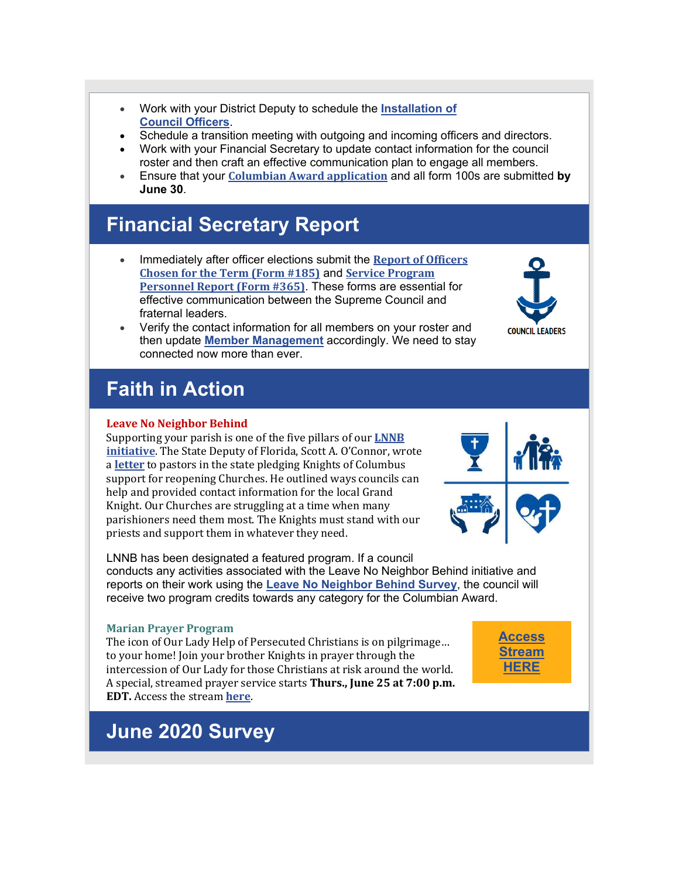- Work with your District Deputy to schedule the **[Installation](http://r20.rs6.net/tn.jsp?f=001Iq09OXOLFYs8r2386GoJFGnNEJzf0H2urhUJSAJ07OpVDJagU31o0gcGZSpURR_Ijl-U1ZOp24YfkjgrEj8ZkwfqarL9mod326HYfaSsUPw1OkdfDPS2upoHXQ22K5H6e39nspx23PWMUXKZnqtZPYp80VkTS4TGhHTJIh8PJ4iopb3HQEvM1qmnaEGczdCK4QAiZqih3W_Vl3lkCqPNsW_LA7T7WI8pQKQK2I4hz1aDlREFL0l6fMU4WgIVI4ILUGvQRM7IrLs=&c=Mz4qRLFY_UVU4usmKPMfglL1PeCDhyN-Zq5exyhExlT01Hr0_8gv0Q==&ch=3qdAi3RWx8ghbvJ-rYDu4-P8E3FPurCSnB20RgDl9Zejnk-pRYO-Dg==) of Council [Officers](http://r20.rs6.net/tn.jsp?f=001Iq09OXOLFYs8r2386GoJFGnNEJzf0H2urhUJSAJ07OpVDJagU31o0gcGZSpURR_Ijl-U1ZOp24YfkjgrEj8ZkwfqarL9mod326HYfaSsUPw1OkdfDPS2upoHXQ22K5H6e39nspx23PWMUXKZnqtZPYp80VkTS4TGhHTJIh8PJ4iopb3HQEvM1qmnaEGczdCK4QAiZqih3W_Vl3lkCqPNsW_LA7T7WI8pQKQK2I4hz1aDlREFL0l6fMU4WgIVI4ILUGvQRM7IrLs=&c=Mz4qRLFY_UVU4usmKPMfglL1PeCDhyN-Zq5exyhExlT01Hr0_8gv0Q==&ch=3qdAi3RWx8ghbvJ-rYDu4-P8E3FPurCSnB20RgDl9Zejnk-pRYO-Dg==)**.
- Schedule a transition meeting with outgoing and incoming officers and directors.
- Work with your Financial Secretary to update contact information for the council roster and then craft an effective communication plan to engage all members.
- Ensure that your **Columbian Award [application](http://r20.rs6.net/tn.jsp?f=001Iq09OXOLFYs8r2386GoJFGnNEJzf0H2urhUJSAJ07OpVDJagU31o0gcGZSpURR_I74e1LiinAsZLrvTG0C61JZVPSMTTLK8nHJG_QWXR-VOXN3fN_4JwzcWRnqSGIe8BEVvKPCDIsDJZQzK73rM7mV9sGJf3RbuSK-oqAykTwZKCFT-lnsFPj46SU-iCRigx1_5SgOfnXfj-Z413nbcDgjtl48DjRkAT&c=Mz4qRLFY_UVU4usmKPMfglL1PeCDhyN-Zq5exyhExlT01Hr0_8gv0Q==&ch=3qdAi3RWx8ghbvJ-rYDu4-P8E3FPurCSnB20RgDl9Zejnk-pRYO-Dg==)** and all form 100s are submitted **by June 30**.

### **Financial Secretary Report**

• Immediately after officer elections submit the **Report of [Officers](http://r20.rs6.net/tn.jsp?f=001Iq09OXOLFYs8r2386GoJFGnNEJzf0H2urhUJSAJ07OpVDJagU31o0ntte4afI56a_6n3S-w6W1-W3NeihzgNKoc_RT2Sr4YX79MEG3Z54aQHQZhh7bcT8nXvJIZvH9XPBFioDbo5sKbfNV0ou7skf-Oju33m_4aVkj986VL-7aPqawvGITLAFacehTdheB9e3Yb06VH5K_0=&c=Mz4qRLFY_UVU4usmKPMfglL1PeCDhyN-Zq5exyhExlT01Hr0_8gv0Q==&ch=3qdAi3RWx8ghbvJ-rYDu4-P8E3FPurCSnB20RgDl9Zejnk-pRYO-Dg==) [Chosen](http://r20.rs6.net/tn.jsp?f=001Iq09OXOLFYs8r2386GoJFGnNEJzf0H2urhUJSAJ07OpVDJagU31o0ntte4afI56a_6n3S-w6W1-W3NeihzgNKoc_RT2Sr4YX79MEG3Z54aQHQZhh7bcT8nXvJIZvH9XPBFioDbo5sKbfNV0ou7skf-Oju33m_4aVkj986VL-7aPqawvGITLAFacehTdheB9e3Yb06VH5K_0=&c=Mz4qRLFY_UVU4usmKPMfglL1PeCDhyN-Zq5exyhExlT01Hr0_8gv0Q==&ch=3qdAi3RWx8ghbvJ-rYDu4-P8E3FPurCSnB20RgDl9Zejnk-pRYO-Dg==) for the Term (Form #185)** and **Service [Program](http://r20.rs6.net/tn.jsp?f=001Iq09OXOLFYs8r2386GoJFGnNEJzf0H2urhUJSAJ07OpVDJagU31o0vMPoVVU3A-KPLEq6i0VSfd1F-QH38veXVXPWk_popx85QtIE1CA-a0U1S_mTc0tyS5y_rp35Sicg-7prNJJiM_u6z3pbxLbOxsZH-F2t6UYPy2lVtDGuIhcvao2-u-tkrhkV0cCbVSNC8KtA9EQbBo=&c=Mz4qRLFY_UVU4usmKPMfglL1PeCDhyN-Zq5exyhExlT01Hr0_8gv0Q==&ch=3qdAi3RWx8ghbvJ-rYDu4-P8E3FPurCSnB20RgDl9Zejnk-pRYO-Dg==) [Personnel](http://r20.rs6.net/tn.jsp?f=001Iq09OXOLFYs8r2386GoJFGnNEJzf0H2urhUJSAJ07OpVDJagU31o0vMPoVVU3A-KPLEq6i0VSfd1F-QH38veXVXPWk_popx85QtIE1CA-a0U1S_mTc0tyS5y_rp35Sicg-7prNJJiM_u6z3pbxLbOxsZH-F2t6UYPy2lVtDGuIhcvao2-u-tkrhkV0cCbVSNC8KtA9EQbBo=&c=Mz4qRLFY_UVU4usmKPMfglL1PeCDhyN-Zq5exyhExlT01Hr0_8gv0Q==&ch=3qdAi3RWx8ghbvJ-rYDu4-P8E3FPurCSnB20RgDl9Zejnk-pRYO-Dg==) Report (Form #365)**. These forms are essential for effective communication between the Supreme Council and fraternal leaders.



# **Faith in Action**

### **Leave No Neighbor Behind**

Supporting your parish is one of the five pillars of our **[LNNB](http://r20.rs6.net/tn.jsp?f=001Iq09OXOLFYs8r2386GoJFGnNEJzf0H2urhUJSAJ07OpVDJagU31o0qgwXDw9kXtVjKoxgxydNdZTxDIw36PX7MjzgeGiIJhxc_p81DQCc8jYDzh-cmozkS9vTS4N0w5qx6-BPBmn-D2ByyILxG7NguDgHQIRX9C8SbvHjCZwRcl2Rs7Bk86Hi-ZgcY-aOF2FyE9EpfMMvg2UmM5sti6gxBUYIcJ_i5wU&c=Mz4qRLFY_UVU4usmKPMfglL1PeCDhyN-Zq5exyhExlT01Hr0_8gv0Q==&ch=3qdAi3RWx8ghbvJ-rYDu4-P8E3FPurCSnB20RgDl9Zejnk-pRYO-Dg==) [initiative](http://r20.rs6.net/tn.jsp?f=001Iq09OXOLFYs8r2386GoJFGnNEJzf0H2urhUJSAJ07OpVDJagU31o0qgwXDw9kXtVjKoxgxydNdZTxDIw36PX7MjzgeGiIJhxc_p81DQCc8jYDzh-cmozkS9vTS4N0w5qx6-BPBmn-D2ByyILxG7NguDgHQIRX9C8SbvHjCZwRcl2Rs7Bk86Hi-ZgcY-aOF2FyE9EpfMMvg2UmM5sti6gxBUYIcJ_i5wU&c=Mz4qRLFY_UVU4usmKPMfglL1PeCDhyN-Zq5exyhExlT01Hr0_8gv0Q==&ch=3qdAi3RWx8ghbvJ-rYDu4-P8E3FPurCSnB20RgDl9Zejnk-pRYO-Dg==)**. The State Deputy of Florida, Scott A. O'Connor, wrote a **[letter](http://r20.rs6.net/tn.jsp?f=001Iq09OXOLFYs8r2386GoJFGnNEJzf0H2urhUJSAJ07OpVDJagU31o0kNQJ81NdF60ZemZQPzFX5IHd6wgYRv7JQI1PgSZCgl_hixyW12H06_cjn6dKIGqTu-vkXsLNFW6HqvdkTI93jTXwUE7Sss52MboOeDT5IjCKdktn0xfEfwgi_DhHGGCoNJYFW8m64IMQ5PLVR0rAOmPSg_ChMOTPRLwx-pP4GyYv0U7vUNPO0Y=&c=Mz4qRLFY_UVU4usmKPMfglL1PeCDhyN-Zq5exyhExlT01Hr0_8gv0Q==&ch=3qdAi3RWx8ghbvJ-rYDu4-P8E3FPurCSnB20RgDl9Zejnk-pRYO-Dg==)** to pastors in the state pledging Knights of Columbus support for reopening Churches. He outlined ways councils can help and provided contact information for the local Grand Knight. Our Churches are struggling at a time when many parishioners need them most. The Knights must stand with our priests and support them in whatever they need.



**COUNCIL LEADERS** 

LNNB has been designated a featured program. If a council conducts any activities associated with the Leave No Neighbor Behind initiative and reports on their work using the **Leave No [Neighbor](http://r20.rs6.net/tn.jsp?f=001Iq09OXOLFYs8r2386GoJFGnNEJzf0H2urhUJSAJ07OpVDJagU31o0pCkxVAAiBX_Qy458UuP1R_igQLZrJCGTpx8sFyGU6T2JupRP43ZXgbSVZfG-dCTGAEOWF4ZaKoJINuO07qejEXoOERqBICCiKz9OA3FgI1iTza8PWcsf9u4cP6-zdf8HINkjT19xNJ_LbcU1Moit5M=&c=Mz4qRLFY_UVU4usmKPMfglL1PeCDhyN-Zq5exyhExlT01Hr0_8gv0Q==&ch=3qdAi3RWx8ghbvJ-rYDu4-P8E3FPurCSnB20RgDl9Zejnk-pRYO-Dg==) Behind Survey**, the council will receive two program credits towards any category for the Columbian Award.

### **Marian Prayer Program**

The icon of Our Lady Help of Persecuted Christians is on pilgrimage… to your home! Join your brother Knights in prayer through the intercession of Our Lady for those Christians at risk around the world. A special, streamed prayer service starts **Thurs., June 25 at 7:00 p.m. EDT.** Access the stream **[here](http://r20.rs6.net/tn.jsp?f=001Iq09OXOLFYs8r2386GoJFGnNEJzf0H2urhUJSAJ07OpVDJagU31o0kNQJ81NdF60sUVd_SaGemYNeZxj_LJT--qk2g9_79qSe6ikT69qOBpwOUsAwZRbQJX3Y4kDunJKTX4HIYCOyVt0miqcVZBfiedvx5_Wj8_HUj8AsIqjm2bnCf3kCd4fqZNnotZUTDUAGTTSybPHgVM=&c=Mz4qRLFY_UVU4usmKPMfglL1PeCDhyN-Zq5exyhExlT01Hr0_8gv0Q==&ch=3qdAi3RWx8ghbvJ-rYDu4-P8E3FPurCSnB20RgDl9Zejnk-pRYO-Dg==)**.

**[Access](http://r20.rs6.net/tn.jsp?f=001Iq09OXOLFYs8r2386GoJFGnNEJzf0H2urhUJSAJ07OpVDJagU31o0kNQJ81NdF60sUVd_SaGemYNeZxj_LJT--qk2g9_79qSe6ikT69qOBpwOUsAwZRbQJX3Y4kDunJKTX4HIYCOyVt0miqcVZBfiedvx5_Wj8_HUj8AsIqjm2bnCf3kCd4fqZNnotZUTDUAGTTSybPHgVM=&c=Mz4qRLFY_UVU4usmKPMfglL1PeCDhyN-Zq5exyhExlT01Hr0_8gv0Q==&ch=3qdAi3RWx8ghbvJ-rYDu4-P8E3FPurCSnB20RgDl9Zejnk-pRYO-Dg==) [Stream](http://r20.rs6.net/tn.jsp?f=001Iq09OXOLFYs8r2386GoJFGnNEJzf0H2urhUJSAJ07OpVDJagU31o0kNQJ81NdF60sUVd_SaGemYNeZxj_LJT--qk2g9_79qSe6ikT69qOBpwOUsAwZRbQJX3Y4kDunJKTX4HIYCOyVt0miqcVZBfiedvx5_Wj8_HUj8AsIqjm2bnCf3kCd4fqZNnotZUTDUAGTTSybPHgVM=&c=Mz4qRLFY_UVU4usmKPMfglL1PeCDhyN-Zq5exyhExlT01Hr0_8gv0Q==&ch=3qdAi3RWx8ghbvJ-rYDu4-P8E3FPurCSnB20RgDl9Zejnk-pRYO-Dg==) [HERE](http://r20.rs6.net/tn.jsp?f=001Iq09OXOLFYs8r2386GoJFGnNEJzf0H2urhUJSAJ07OpVDJagU31o0kNQJ81NdF60sUVd_SaGemYNeZxj_LJT--qk2g9_79qSe6ikT69qOBpwOUsAwZRbQJX3Y4kDunJKTX4HIYCOyVt0miqcVZBfiedvx5_Wj8_HUj8AsIqjm2bnCf3kCd4fqZNnotZUTDUAGTTSybPHgVM=&c=Mz4qRLFY_UVU4usmKPMfglL1PeCDhyN-Zq5exyhExlT01Hr0_8gv0Q==&ch=3qdAi3RWx8ghbvJ-rYDu4-P8E3FPurCSnB20RgDl9Zejnk-pRYO-Dg==)**

# **June 2020 Survey**